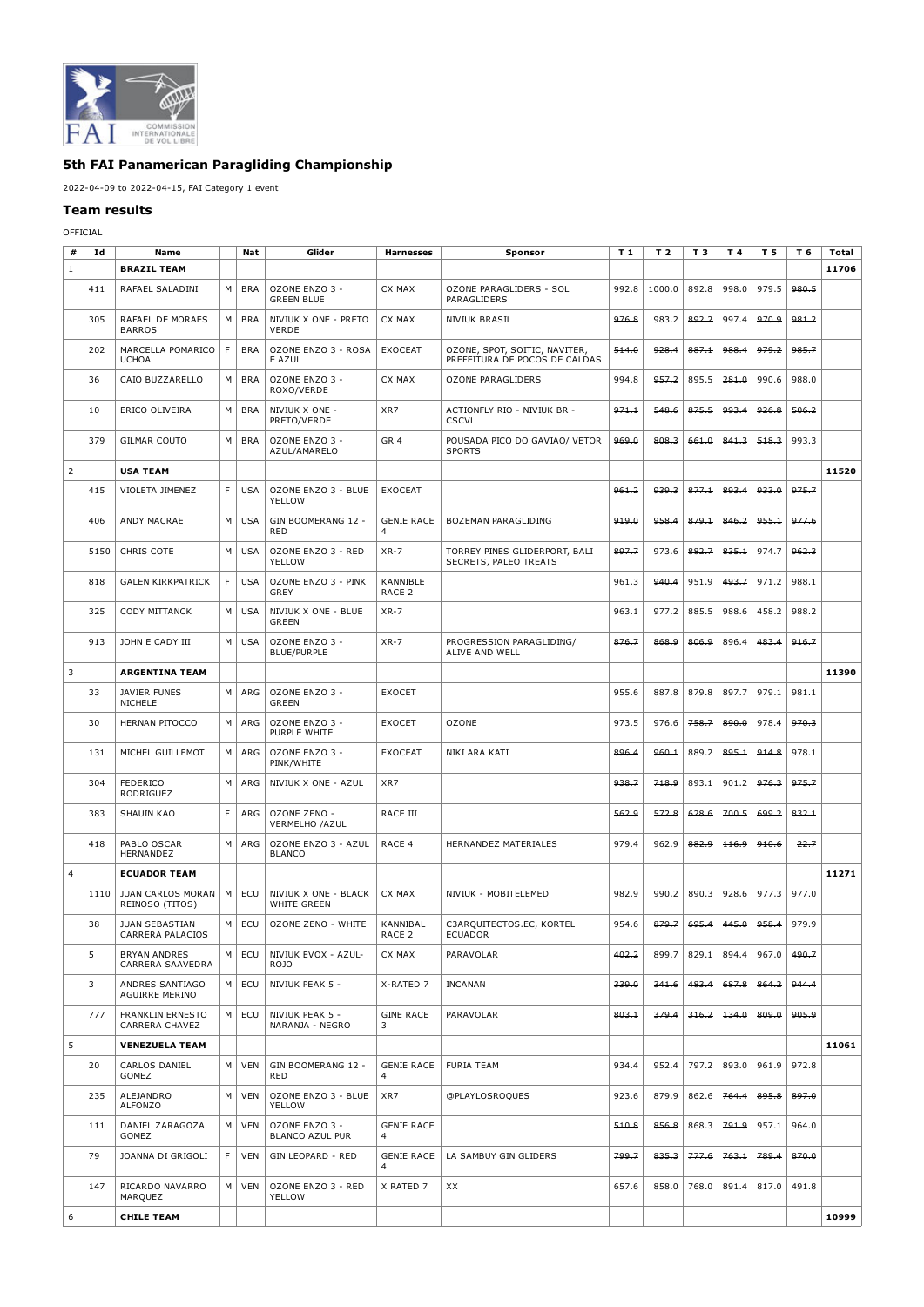

## **5th FAI Panamerican Paragliding Championship**

## 2022-04-09 to 2022-04-15, FAI Category 1 event

## **Team results**

## OFFICIAL

| #              | Id   | Name                                      |    | Nat        | Glider                               | Harnesses                     | Sponsor                                                        | T <sub>1</sub> | T <sub>2</sub> | T 3   | T 4   | T 5   | T 6   | Total |
|----------------|------|-------------------------------------------|----|------------|--------------------------------------|-------------------------------|----------------------------------------------------------------|----------------|----------------|-------|-------|-------|-------|-------|
| $\mathbf{1}$   |      | <b>BRAZIL TEAM</b>                        |    |            |                                      |                               |                                                                |                |                |       |       |       |       | 11706 |
|                | 411  | RAFAEL SALADINI                           | M  | <b>BRA</b> | OZONE ENZO 3 -<br><b>GREEN BLUE</b>  | CX MAX                        | OZONE PARAGLIDERS - SOL<br>PARAGLIDERS                         | 992.8          | 1000.0         | 892.8 | 998.0 | 979.5 | 980.5 |       |
|                | 305  | RAFAEL DE MORAES<br><b>BARROS</b>         | M  | <b>BRA</b> | NIVIUK X ONE - PRETO<br><b>VERDE</b> | CX MAX                        | <b>NIVIUK BRASIL</b>                                           | 976.8          | 983.2          | 892.2 | 997.4 | 970.9 | 981.2 |       |
|                | 202  | MARCELLA POMARICO<br><b>UCHOA</b>         | F. | <b>BRA</b> | OZONE ENZO 3 - ROSA<br>E AZUL        | <b>EXOCEAT</b>                | OZONE, SPOT, SOITIC, NAVITER,<br>PREFEITURA DE POCOS DE CALDAS | 514.0          | 928.4          | 887.1 | 988.4 | 979.2 | 985.7 |       |
|                | 36   | CAIO BUZZARELLO                           | M  | <b>BRA</b> | OZONE ENZO 3 -<br>ROXO/VERDE         | CX MAX                        | <b>OZONE PARAGLIDERS</b>                                       | 994.8          | 957.2          | 895.5 | 281.0 | 990.6 | 988.0 |       |
|                | 10   | ERICO OLIVEIRA                            | М  | <b>BRA</b> | NIVIUK X ONE -<br>PRETO/VERDE        | XR7                           | ACTIONFLY RIO - NIVIUK BR -<br><b>CSCVL</b>                    | 971.1          | 548.6          | 875.5 | 993.4 | 926.8 | 506.2 |       |
|                | 379  | <b>GILMAR COUTO</b>                       | М  | <b>BRA</b> | OZONE ENZO 3 -<br>AZUL/AMARELO       | GR <sub>4</sub>               | POUSADA PICO DO GAVIAO/ VETOR<br><b>SPORTS</b>                 | 969.0          | 808.3          | 661.0 | 841.3 | 518.3 | 993.3 |       |
| $\overline{2}$ |      | <b>USA TEAM</b>                           |    |            |                                      |                               |                                                                |                |                |       |       |       |       | 11520 |
|                | 415  | VIOLETA JIMENEZ                           | F. | <b>USA</b> | OZONE ENZO 3 - BLUE<br>YELLOW        | <b>EXOCEAT</b>                |                                                                | 961.2          | 939.3          | 877.1 | 893.4 | 933.0 | 975.7 |       |
|                | 406  | ANDY MACRAE                               | М  | <b>USA</b> | GIN BOOMERANG 12 -<br><b>RED</b>     | <b>GENIE RACE</b>             | BOZEMAN PARAGLIDING                                            | 919.0          | 958.4          | 879.1 | 846.2 | 955.1 | 977.6 |       |
|                | 5150 | CHRIS COTE                                | М  | <b>USA</b> | OZONE ENZO 3 - RED<br>YELLOW         | $XR - 7$                      | TORREY PINES GLIDERPORT, BALI<br>SECRETS, PALEO TREATS         | 897.7          | 973.6          | 882.7 | 835.1 | 974.7 | 962.3 |       |
|                | 818  | <b>GALEN KIRKPATRICK</b>                  | F  | <b>USA</b> | OZONE ENZO 3 - PINK<br>GREY          | KANNIBLE<br>RACE <sub>2</sub> |                                                                | 961.3          | 940.4          | 951.9 | 493.7 | 971.2 | 988.1 |       |
|                | 325  | <b>CODY MITTANCK</b>                      | М  | <b>USA</b> | NIVIUK X ONE - BLUE<br><b>GREEN</b>  | $XR - 7$                      |                                                                | 963.1          | 977.2          | 885.5 | 988.6 | 458.2 | 988.2 |       |
|                | 913  | JOHN E CADY III                           | М  | <b>USA</b> | OZONE ENZO 3 -<br><b>BLUE/PURPLE</b> | $XR - 7$                      | PROGRESSION PARAGLIDING/<br>ALIVE AND WELL                     | 876.7          | 868.9          | 806.9 | 896.4 | 483.4 | 916.7 |       |
| 3              |      | <b>ARGENTINA TEAM</b>                     |    |            |                                      |                               |                                                                |                |                |       |       |       |       | 11390 |
|                | 33   | <b>JAVIER FUNES</b><br>NICHELE            | M  | ARG        | OZONE ENZO 3 -<br>GREEN              | <b>EXOCET</b>                 |                                                                | 955.6          | 887.8          | 879.8 | 897.7 | 979.1 | 981.1 |       |
|                | 30   | HERNAN PITOCCO                            | M  | ARG        | OZONE ENZO 3 -<br>PURPLE WHITE       | <b>EXOCET</b>                 | <b>OZONE</b>                                                   | 973.5          | 976.6          | 758.7 | 890.0 | 978.4 | 970.3 |       |
|                | 131  | MICHEL GUILLEMOT                          | М  | ARG        | OZONE ENZO 3 -<br>PINK/WHITE         | <b>EXOCEAT</b>                | NIKI ARA KATI                                                  | 896.4          | 960.1          | 889.2 | 895.1 | 914.8 | 978.1 |       |
|                | 304  | <b>FEDERICO</b><br>RODRIGUEZ              | М  | ARG        | NIVIUK X ONE - AZUL                  | XR7                           |                                                                | 938.7          | 718.9          | 893.1 | 901.2 | 976.3 | 975.7 |       |
|                | 383  | <b>SHAUIN KAO</b>                         | F  | ARG        | OZONE ZENO -<br>VERMELHO /AZUL       | RACE III                      |                                                                | 562.9          | 572.8          | 628.6 | 700.5 | 699.2 | 832.1 |       |
|                | 418  | PABLO OSCAR<br>HERNANDEZ                  | M  | ARG        | OZONE ENZO 3 - AZUL<br><b>BLANCO</b> | RACE 4                        | HERNANDEZ MATERIALES                                           | 979.4          | 962.9          | 882.9 | 116.9 | 910.6 | 22.7  |       |
| $\overline{4}$ |      | <b>ECUADOR TEAM</b>                       |    |            |                                      |                               |                                                                |                |                |       |       |       |       | 11271 |
|                | 1110 | JUAN CARLOS MORAN  <br>REINOSO (TITOS)    | М  | ECU        | NIVIUK X ONE - BLACK<br>WHITE GREEN  | CX MAX                        | NIVIUK - MOBITELEMED                                           | 982.9          | 990.2          | 890.3 | 928.6 | 977.3 | 977.0 |       |
|                | 38   | <b>JUAN SEBASTIAN</b><br>CARRERA PALACIOS | М  | ECU        | OZONE ZENO - WHITE                   | KANNIBAL<br>RACE 2            | C3ARQUITECTOS.EC, KORTEL<br><b>ECUADOR</b>                     | 954.6          | 879.7          | 695.4 | 445.0 | 958.4 | 979.9 |       |
|                | 5    | <b>BRYAN ANDRES</b><br>CARRERA SAAVEDRA   | М  | ECU        | NIVIUK EVOX - AZUL-<br><b>ROJO</b>   | CX MAX                        | PARAVOLAR                                                      | 402.2          | 899.7          | 829.1 | 894.4 | 967.0 | 490.7 |       |
|                | 3    | ANDRES SANTIAGO<br>AGUIRRE MERINO         | М  | ECU        | NIVIUK PEAK 5 -                      | X-RATED 7                     | <b>INCANAN</b>                                                 | 339.0          | 341.6          | 483.4 | 687.8 | 864.2 | 944.4 |       |
|                | 777  | <b>FRANKLIN ERNESTO</b><br>CARRERA CHAVEZ | M  | ECU        | NIVIUK PEAK 5 -<br>NARANJA - NEGRO   | <b>GINE RACE</b><br>3         | PARAVOLAR                                                      | 803.1          | 379.4          | 316.2 | 134.0 | 809.0 | 905.9 |       |
| 5              |      | <b>VENEZUELA TEAM</b>                     |    |            |                                      |                               |                                                                |                |                |       |       |       |       | 11061 |
|                | 20   | CARLOS DANIEL<br>GOMEZ                    | М  | <b>VEN</b> | GIN BOOMERANG 12 -<br>RED            | <b>GENIE RACE</b><br>4        | FURIA TEAM                                                     | 934.4          | 952.4          | 797.2 | 893.0 | 961.9 | 972.8 |       |
|                | 235  | ALEJANDRO<br>ALFONZO                      | М  | VEN        | OZONE ENZO 3 - BLUE<br>YELLOW        | XR7                           | @PLAYLOSROQUES                                                 | 923.6          | 879.9          | 862.6 | 764.4 | 895.8 | 897.0 |       |
|                | 111  | DANIEL ZARAGOZA<br>GOMEZ                  | М  | VEN        | OZONE ENZO 3 -<br>BLANCO AZUL PUR    | <b>GENIE RACE</b><br>4        |                                                                | 510.8          | 856.8          | 868.3 | 791.9 | 957.1 | 964.0 |       |
|                | 79   | JOANNA DI GRIGOLI                         | F  | <b>VEN</b> | GIN LEOPARD - RED                    | <b>GENIE RACE</b>             | LA SAMBUY GIN GLIDERS                                          | 799.7          | 835.3          | 777.6 | 763.1 | 789.4 | 870.0 |       |
|                | 147  | RICARDO NAVARRO<br>MARQUEZ                | М  | <b>VEN</b> | OZONE ENZO 3 - RED<br>YELLOW         | X RATED 7                     | ХX                                                             | 657.6          | 858.0          | 768.0 | 891.4 | 817.0 | 491.8 |       |
| 6              |      | <b>CHILE TEAM</b>                         |    |            |                                      |                               |                                                                |                |                |       |       |       |       | 10999 |